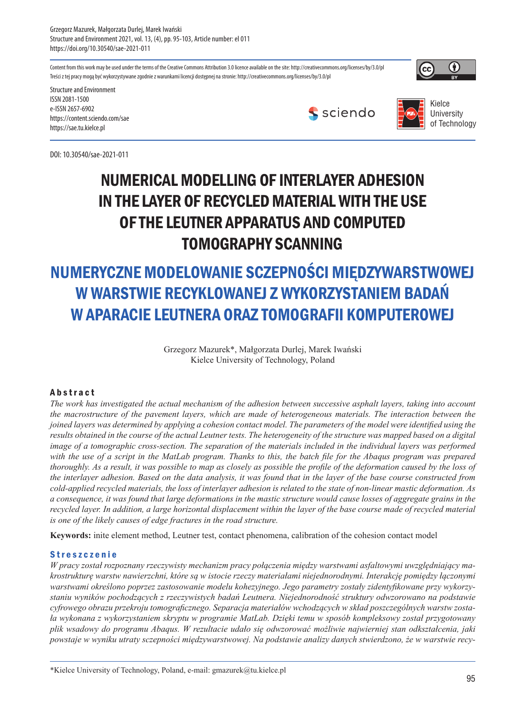Grzegorz Mazurek, Małgorzata Durlej, Marek Iwański Structure and Environment 2021, vol. 13, (4), pp. 95-103, Article number: el 011 https://doi.org/10.30540/sae-2021-011

Content from this work may be used under the terms of the Creative Commons Attribution 3.0 licence available on the site: http://creativecommons.org/licenses/by/3.0/pl Treści z tej pracy mogą być wykorzystywane zgodnie z warunkami licencji dostępnej na stronie: http://creativecommons.org/licenses/by/3.0/pl



Structure and Environment ISSN 2081-1500 e-ISSN 2657-6902 https://content.sciendo.com/sae https://sae.tu.kielce.pl

DOI: 10.30540/sae-2021-011





## NUMERICAL MODELLING OF INTERLAYER ADHESION IN THE LAYER OF RECYCLED MATERIAL WITH THE USE OF THE LEUTNER APPARATUS AND COMPUTED TOMOGRAPHY SCANNING

# NUMERYCZNE MODELOWANIE SCZEPNOŚCI MIĘDZYWARSTWOWEJ W WARSTWIE RECYKLOWANEJ Z WYKORZYSTANIEM BADAŃ W APARACIE LEUTNERA ORAZ TOMOGRAFII KOMPUTEROWEJ

Grzegorz Mazurek\*, Małgorzata Durlej, Marek Iwański Kielce University of Technology, Poland

### **Abstract**

*The work has investigated the actual mechanism of the adhesion between successive asphalt layers, taking into account the macrostructure of the pavement layers, which are made of heterogeneous materials. The interaction between the joined layers was determined by applying a cohesion contact model. The parameters of the model were identified using the results obtained in the course of the actual Leutner tests. The heterogeneity of the structure was mapped based on a digital image of a tomographic cross-section. The separation of the materials included in the individual layers was performed* with the use of a script in the MatLab program. Thanks to this, the batch file for the Abaqus program was prepared *thoroughly. As a result, it was possible to map as closely as possible the profile of the deformation caused by the loss of the interlayer adhesion. Based on the data analysis, it was found that in the layer of the base course constructed from cold-applied recycled materials, the loss of interlayer adhesion is related to the state of non-linear mastic deformation. As a consequence, it was found that large deformations in the mastic structure would cause losses of aggregate grains in the recycled layer. In addition, a large horizontal displacement within the layer of the base course made of recycled material is one of the likely causes of edge fractures in the road structure.* 

**Keywords:** inite element method, Leutner test, contact phenomena, calibration of the cohesion contact model

### Streszczenie

*W pracy został rozpoznany rzeczywisty mechanizm pracy połączenia między warstwami asfaltowymi uwzględniający makrostrukturę warstw nawierzchni, które są w istocie rzeczy materiałami niejednorodnymi. Interakcję pomiędzy łączonymi warstwami określono poprzez zastosowanie modelu kohezyjnego. Jego parametry zostały zidentyfikowane przy wykorzystaniu wyników pochodzących z rzeczywistych badań Leutnera. Niejednorodność struktury odwzorowano na podstawie cyfrowego obrazu przekroju tomograficznego. Separacja materiałów wchodzących w skład poszczególnych warstw została wykonana z wykorzystaniem skryptu w programie MatLab. Dzięki temu w sposób kompleksowy został przygotowany plik wsadowy do programu Abaqus. W rezultacie udało się odwzorować możliwie najwierniej stan odkształcenia, jaki powstaje w wyniku utraty sczepności międzywarstwowej. Na podstawie analizy danych stwierdzono, że w warstwie recy-*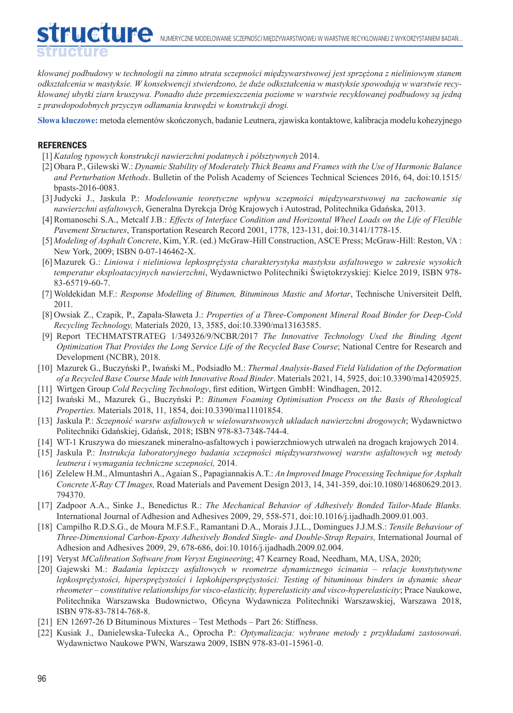*klowanej podbudowy w technologii na zimno utrata sczepności międzywarstwowej jest sprzężona z nieliniowym stanem odkształcenia w mastyksie. W konsekwencji stwierdzono, że duże odkształcenia w mastyksie spowodują w warstwie recyklowanej ubytki ziarn kruszywa. Ponadto duże przemieszczenia poziome w warstwie recyklowanej podbudowy są jedną z prawdopodobnych przyczyn odłamania krawędzi w konstrukcji drogi.* 

**Słowa kluczowe:** metoda elementów skończonych, badanie Leutnera, zjawiska kontaktowe, kalibracja modelu kohezyjnego

#### **REFERENCES**

dilleture

- [1]*Katalog typowych konstrukcji nawierzchni podatnych i półsztywnych* 2014.
- [2] Obara P., Gilewski W.: *Dynamic Stability of Moderately Thick Beams and Frames with the Use of Harmonic Balance and Perturbation Methods*. Bulletin of the Polish Academy of Sciences Technical Sciences 2016, 64, doi:10.1515/ bpasts-2016-0083.
- [3]Judycki J., Jaskula P.: *Modelowanie teoretyczne wpływu sczepności międzywarstwowej na zachowanie się nawierzchni asfaltowych*, Generalna Dyrekcja Dróg Krajowych i Autostrad, Politechnika Gdańska, 2013.
- [4]Romanoschi S.A., Metcalf J.B.: *Effects of Interface Condition and Horizontal Wheel Loads on the Life of Flexible Pavement Structures*, Transportation Research Record 2001, 1778, 123-131, doi:10.3141/1778-15.
- [5] *Modeling of Asphalt Concrete*, Kim, Y.R. (ed.) McGraw-Hill Construction, ASCE Press; McGraw-Hill: Reston, VA : New York, 2009; ISBN 0-07-146462-X.
- [6] Mazurek G.: *Liniowa i nieliniowa lepkosprężysta charakterystyka mastyksu asfaltowego w zakresie wysokich temperatur eksploatacyjnych nawierzchni*, Wydawnictwo Politechniki Świętokrzyskiej: Kielce 2019, ISBN 978- 83-65719-60-7.
- [7] Woldekidan M.F.: *Response Modelling of Bitumen, Bituminous Mastic and Mortar*, Technische Universiteit Delft, 2011.
- [8] Owsiak Z., Czapik, P., Zapała-Sławeta J.: *Properties of a Three-Component Mineral Road Binder for Deep-Cold Recycling Technology,* Materials 2020, 13, 3585, doi:10.3390/ma13163585.
- [9] Report TECHMATSTRATEG 1/349326/9/NCBR/2017 *The Innovative Technology Used the Binding Agent Optimization That Provides the Long Service Life of the Recycled Base Course*; National Centre for Research and Development (NCBR), 2018.
- [10] Mazurek G., Buczyński P., Iwański M., Podsiadło M.: *Thermal Analysis-Based Field Validation of the Deformation of a Recycled Base Course Made with Innovative Road Binder*. Materials 2021, 14, 5925, doi:10.3390/ma14205925.
- [11] Wirtgen Group *Cold Recycling Technology*, first edition, Wirtgen GmbH: Windhagen, 2012.
- [12] Iwański M., Mazurek G., Buczyński P.: *Bitumen Foaming Optimisation Process on the Basis of Rheological Properties.* Materials 2018, 11, 1854, doi:10.3390/ma11101854.
- [13] Jaskula P.: *Sczepność warstw asfaltowych w wielowarstwowych ukladach nawierzchni drogowych*; Wydawnictwo Politechniki Gdańskiej, Gdańsk, 2018; ISBN 978-83-7348-744-4.
- [14] WT-1 Kruszywa do mieszanek mineralno-asfaltowych i powierzchniowych utrwaleń na drogach krajowych 2014.
- [15] Jaskula P.: *Instrukcja laboratoryjnego badania sczepności międzywarstwowej warstw asfaltowych wg metody leutnera i wymagania techniczne sczepności,* 2014.
- [16] Zelelew H.M., Almuntashri A., Agaian S., Papagiannakis A.T.: *An Improved Image Processing Technique for Asphalt Concrete X-Ray CT Images,* Road Materials and Pavement Design 2013, 14, 341-359, doi:10.1080/14680629.2013. 794370.
- [17] Zadpoor A.A., Sinke J., Benedictus R.: *The Mechanical Behavior of Adhesively Bonded Tailor-Made Blanks.*  International Journal of Adhesion and Adhesives 2009, 29, 558-571, doi:10.1016/j.ijadhadh.2009.01.003.
- [18] Campilho R.D.S.G., de Moura M.F.S.F., Ramantani D.A., Morais J.J.L., Domingues J.J.M.S.: *Tensile Behaviour of Three-Dimensional Carbon-Epoxy Adhesively Bonded Single- and Double-Strap Repairs,* International Journal of Adhesion and Adhesives 2009, 29, 678-686, doi:10.1016/j.ijadhadh.2009.02.004.
- [19] Veryst *MCalibration Software from Veryst Engineering*; 47 Kearney Road, Needham, MA, USA, 2020;
- [20] Gajewski M.: *Badania lepiszczy asfaltowych w reometrze dynamicznego ścinania relacje konstytutywne lepkosprężystości, hipersprężystości i lepkohipersprężystości: Testing of bituminous binders in dynamic shear rheometer – constitutive relationships for visco-elasticity, hyperelasticity and visco-hyperelasticity*; Prace Naukowe, Politechnika Warszawska Budownictwo, Oficyna Wydawnicza Politechniki Warszawskiej, Warszawa 2018, ISBN 978-83-7814-768-8.
- [21] EN 12697-26 D Bituminous Mixtures Test Methods Part 26: Stiffness.
- [22] Kusiak J., Danielewska-Tułecka A., Oprocha P.: *Optymalizacja: wybrane metody z przykładami zastosowań*. Wydawnictwo Naukowe PWN, Warszawa 2009, ISBN 978-83-01-15961-0.